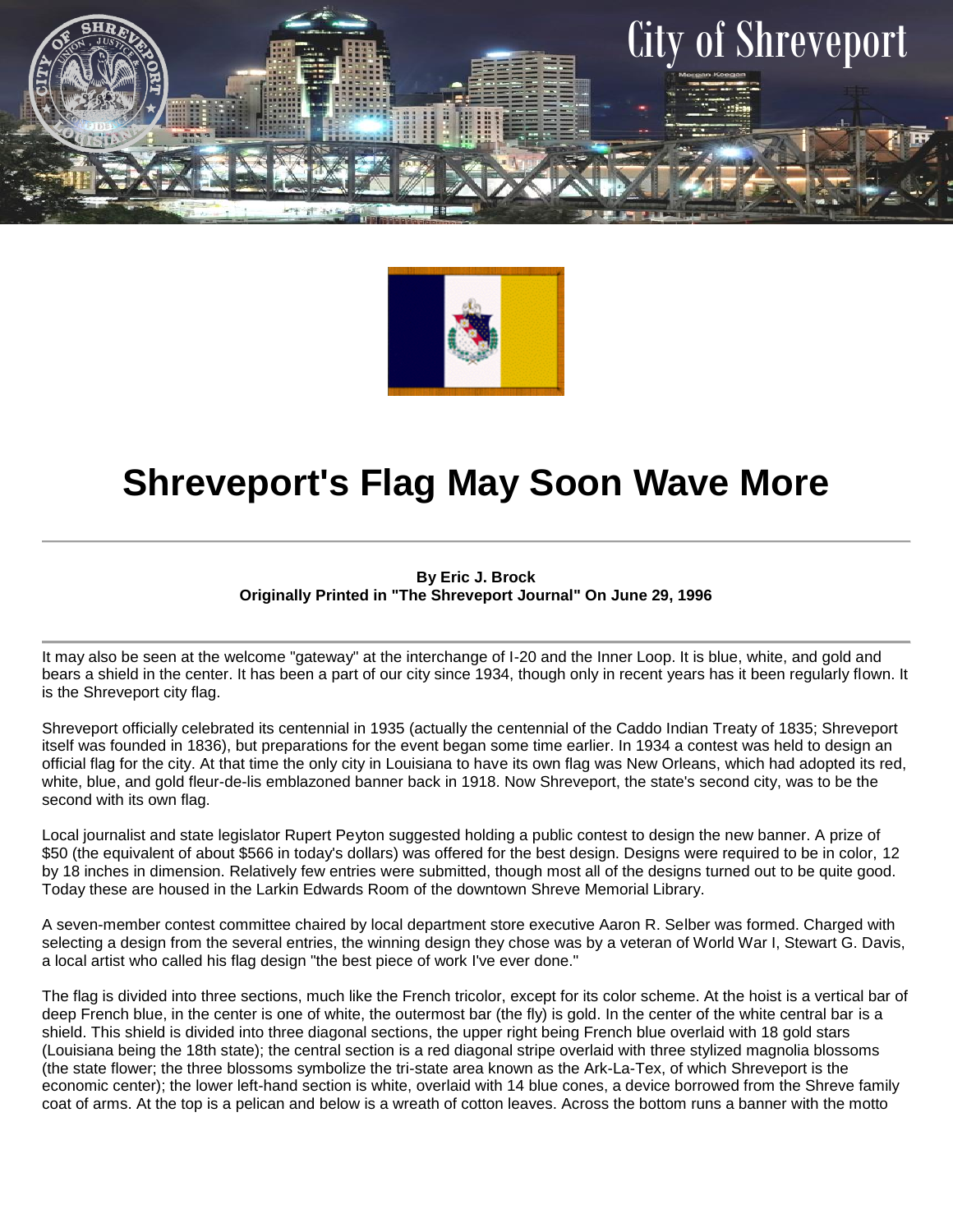



## **Shreveport's Flag May Soon Wave More**

## **By Eric J. Brock Originally Printed in "The Shreveport Journal" On June 29, 1996**

It may also be seen at the welcome "gateway" at the interchange of I-20 and the Inner Loop. It is blue, white, and gold and bears a shield in the center. It has been a part of our city since 1934, though only in recent years has it been regularly flown. It is the Shreveport city flag.

Shreveport officially celebrated its centennial in 1935 (actually the centennial of the Caddo Indian Treaty of 1835; Shreveport itself was founded in 1836), but preparations for the event began some time earlier. In 1934 a contest was held to design an official flag for the city. At that time the only city in Louisiana to have its own flag was New Orleans, which had adopted its red, white, blue, and gold fleur-de-lis emblazoned banner back in 1918. Now Shreveport, the state's second city, was to be the second with its own flag.

Local journalist and state legislator Rupert Peyton suggested holding a public contest to design the new banner. A prize of \$50 (the equivalent of about \$566 in today's dollars) was offered for the best design. Designs were required to be in color, 12 by 18 inches in dimension. Relatively few entries were submitted, though most all of the designs turned out to be quite good. Today these are housed in the Larkin Edwards Room of the downtown Shreve Memorial Library.

A seven-member contest committee chaired by local department store executive Aaron R. Selber was formed. Charged with selecting a design from the several entries, the winning design they chose was by a veteran of World War I, Stewart G. Davis, a local artist who called his flag design "the best piece of work I've ever done."

The flag is divided into three sections, much like the French tricolor, except for its color scheme. At the hoist is a vertical bar of deep French blue, in the center is one of white, the outermost bar (the fly) is gold. In the center of the white central bar is a shield. This shield is divided into three diagonal sections, the upper right being French blue overlaid with 18 gold stars (Louisiana being the 18th state); the central section is a red diagonal stripe overlaid with three stylized magnolia blossoms (the state flower; the three blossoms symbolize the tri-state area known as the Ark-La-Tex, of which Shreveport is the economic center); the lower left-hand section is white, overlaid with 14 blue cones, a device borrowed from the Shreve family coat of arms. At the top is a pelican and below is a wreath of cotton leaves. Across the bottom runs a banner with the motto